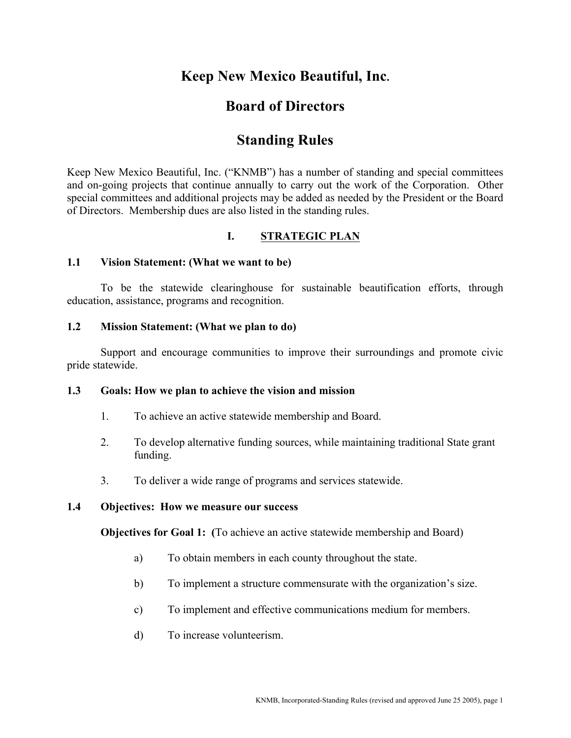# **Keep New Mexico Beautiful, Inc.**

# **Board of Directors**

# **Standing Rules**

Keep New Mexico Beautiful, Inc. ("KNMB") has a number of standing and special committees and on-going projects that continue annually to carry out the work of the Corporation. Other special committees and additional projects may be added as needed by the President or the Board of Directors. Membership dues are also listed in the standing rules.

# **I. STRATEGIC PLAN**

#### **1.1 Vision Statement: (What we want to be)**

To be the statewide clearinghouse for sustainable beautification efforts, through education, assistance, programs and recognition.

#### **1.2 Mission Statement: (What we plan to do)**

Support and encourage communities to improve their surroundings and promote civic pride statewide.

## **1.3 Goals: How we plan to achieve the vision and mission**

- 1. To achieve an active statewide membership and Board.
- 2. To develop alternative funding sources, while maintaining traditional State grant funding.
- 3. To deliver a wide range of programs and services statewide.

#### **1.4 Objectives: How we measure our success**

**Objectives for Goal 1: (**To achieve an active statewide membership and Board)

- a) To obtain members in each county throughout the state.
- b) To implement a structure commensurate with the organization's size.
- c) To implement and effective communications medium for members.
- d) To increase volunteerism.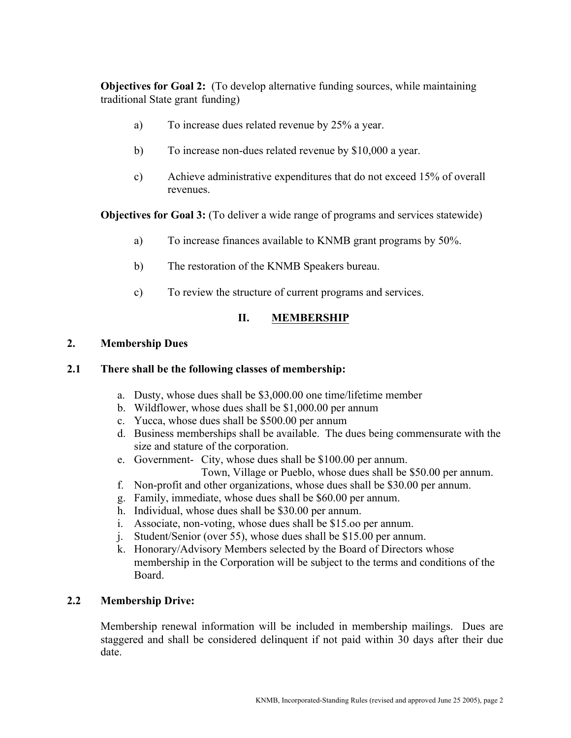**Objectives for Goal 2:** (To develop alternative funding sources, while maintaining traditional State grant funding)

- a) To increase dues related revenue by 25% a year.
- b) To increase non-dues related revenue by \$10,000 a year.
- c) Achieve administrative expenditures that do not exceed 15% of overall revenues.

**Objectives for Goal 3:** (To deliver a wide range of programs and services statewide)

- a) To increase finances available to KNMB grant programs by 50%.
- b) The restoration of the KNMB Speakers bureau.
- c) To review the structure of current programs and services.

#### **II. MEMBERSHIP**

#### **2. Membership Dues**

#### **2.1 There shall be the following classes of membership:**

- a. Dusty, whose dues shall be \$3,000.00 one time/lifetime member
- b. Wildflower, whose dues shall be \$1,000.00 per annum
- c. Yucca, whose dues shall be \$500.00 per annum
- d. Business memberships shall be available. The dues being commensurate with the size and stature of the corporation.
- e. Government- City, whose dues shall be \$100.00 per annum.
	- Town, Village or Pueblo, whose dues shall be \$50.00 per annum.
- f. Non-profit and other organizations, whose dues shall be \$30.00 per annum.
- g. Family, immediate, whose dues shall be \$60.00 per annum.
- h. Individual, whose dues shall be \$30.00 per annum.
- i. Associate, non-voting, whose dues shall be \$15.oo per annum.
- j. Student/Senior (over 55), whose dues shall be \$15.00 per annum.
- k. Honorary/Advisory Members selected by the Board of Directors whose membership in the Corporation will be subject to the terms and conditions of the Board.

# **2.2 Membership Drive:**

Membership renewal information will be included in membership mailings. Dues are staggered and shall be considered delinquent if not paid within 30 days after their due date.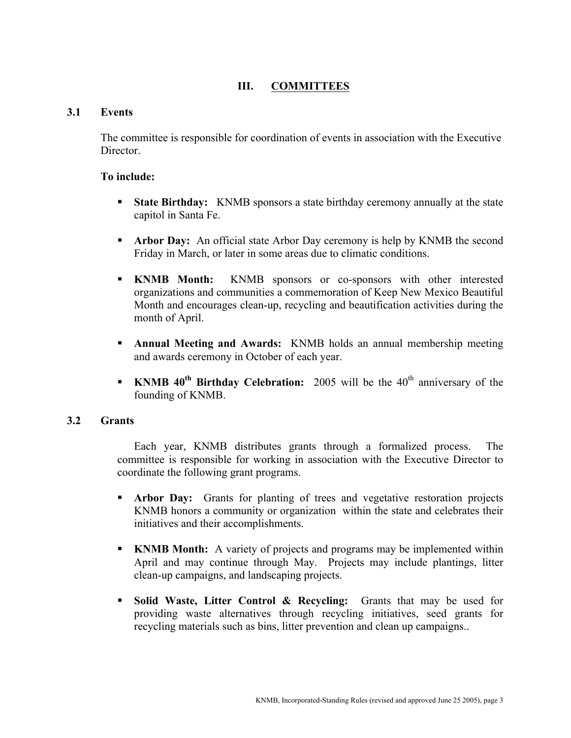# **III. COMMITTEES**

#### **3.1 Events**

The committee is responsible for coordination of events in association with the Executive **Director** 

#### **To include:**

- **State Birthday:** KNMB sponsors a state birthday ceremony annually at the state capitol in Santa Fe.
- **Arbor Day:** An official state Arbor Day ceremony is help by KNMB the second Friday in March, or later in some areas due to climatic conditions.
- **KNMB Month:** KNMB sponsors or co-sponsors with other interested organizations and communities a commemoration of Keep New Mexico Beautiful Month and encourages clean-up, recycling and beautification activities during the month of April.
- **Annual Meeting and Awards:** KNMB holds an annual membership meeting and awards ceremony in October of each year.
- **KNMB 40<sup>th</sup> Birthday Celebration:** 2005 will be the 40<sup>th</sup> anniversary of the founding of KNMB.

#### **3.2 Grants**

Each year, KNMB distributes grants through a formalized process. The committee is responsible for working in association with the Executive Director to coordinate the following grant programs.

- **Arbor Day:** Grants for planting of trees and vegetative restoration projects KNMB honors a community or organization within the state and celebrates their initiatives and their accomplishments.
- **KNMB Month:** A variety of projects and programs may be implemented within April and may continue through May. Projects may include plantings, litter clean-up campaigns, and landscaping projects.
- **Solid Waste, Litter Control & Recycling:** Grants that may be used for providing waste alternatives through recycling initiatives, seed grants for recycling materials such as bins, litter prevention and clean up campaigns..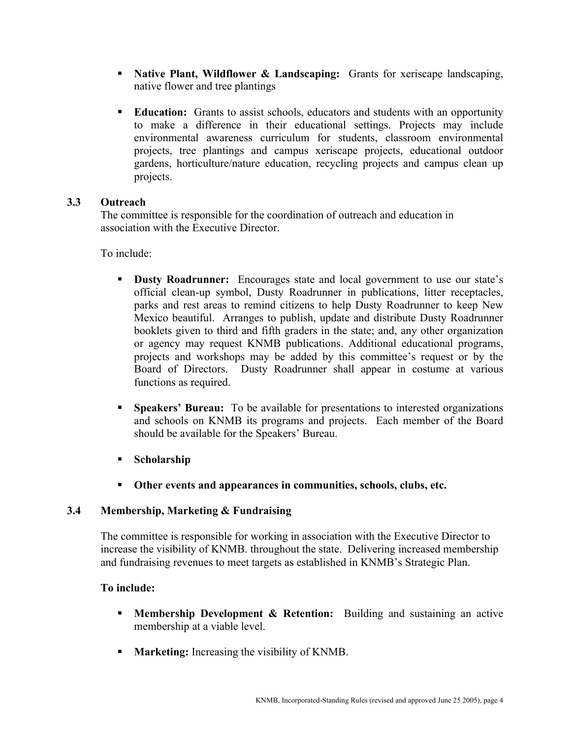- **Native Plant, Wildflower & Landscaping:** Grants for xeriscape landscaping, native flower and tree plantings
- **Education:** Grants to assist schools, educators and students with an opportunity to make a difference in their educational settings. Projects may include environmental awareness curriculum for students, classroom environmental projects, tree plantings and campus xeriscape projects, educational outdoor gardens, horticulture/nature education, recycling projects and campus clean up projects.

#### **3.3 Outreach**

The committee is responsible for the coordination of outreach and education in association with the Executive Director.

To include:

- **Dusty Roadrunner:** Encourages state and local government to use our state's official clean-up symbol, Dusty Roadrunner in publications, litter receptacles, parks and rest areas to remind citizens to help Dusty Roadrunner to keep New Mexico beautiful. Arranges to publish, update and distribute Dusty Roadrunner booklets given to third and fifth graders in the state; and, any other organization or agency may request KNMB publications. Additional educational programs, projects and workshops may be added by this committee's request or by the Board of Directors. Dusty Roadrunner shall appear in costume at various functions as required.
- **Speakers' Bureau:** To be available for presentations to interested organizations and schools on KNMB its programs and projects. Each member of the Board should be available for the Speakers' Bureau.
- **Scholarship**
- **Other events and appearances in communities, schools, clubs, etc.**

## **3.4 Membership, Marketing & Fundraising**

The committee is responsible for working in association with the Executive Director to increase the visibility of KNMB. throughout the state. Delivering increased membership and fundraising revenues to meet targets as established in KNMB's Strategic Plan.

#### **To include:**

- **Membership Development & Retention:** Building and sustaining an active membership at a viable level.
- **Marketing:** Increasing the visibility of KNMB.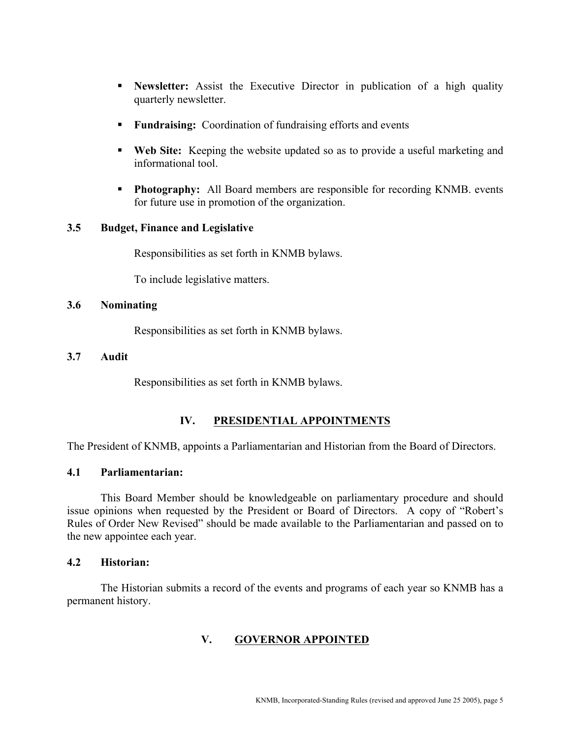- **Newsletter:** Assist the Executive Director in publication of a high quality quarterly newsletter.
- **Fundraising:** Coordination of fundraising efforts and events
- **Web Site:** Keeping the website updated so as to provide a useful marketing and informational tool.
- **Photography:** All Board members are responsible for recording KNMB. events for future use in promotion of the organization.

#### **3.5 Budget, Finance and Legislative**

Responsibilities as set forth in KNMB bylaws.

To include legislative matters.

#### **3.6 Nominating**

Responsibilities as set forth in KNMB bylaws.

#### **3.7 Audit**

Responsibilities as set forth in KNMB bylaws.

# **IV. PRESIDENTIAL APPOINTMENTS**

The President of KNMB, appoints a Parliamentarian and Historian from the Board of Directors.

### **4.1 Parliamentarian:**

This Board Member should be knowledgeable on parliamentary procedure and should issue opinions when requested by the President or Board of Directors. A copy of "Robert's Rules of Order New Revised" should be made available to the Parliamentarian and passed on to the new appointee each year.

#### **4.2 Historian:**

The Historian submits a record of the events and programs of each year so KNMB has a permanent history.

## **V. GOVERNOR APPOINTED**